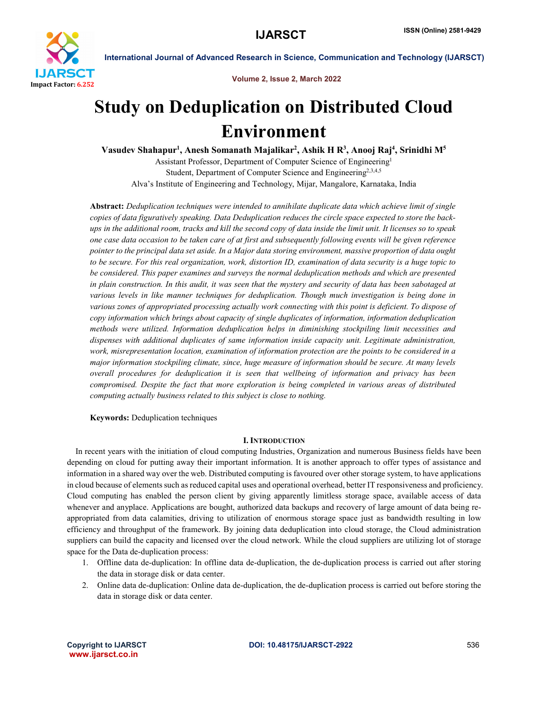

International Journal of Advanced Research in Science, Communication and Technology (IJARSCT)

Volume 2, Issue 2, March 2022

## Study on Deduplication on Distributed Cloud Environment

Vasudev Shahapur<sup>1</sup>, Anesh Somanath Majalikar<sup>2</sup>, Ashik H R<sup>3</sup>, Anooj Raj<sup>4</sup>, Srinidhi M<sup>5</sup>

Assistant Professor, Department of Computer Science of Engineering1 Student, Department of Computer Science and Engineering<sup>2,3,4,5</sup> Alva's Institute of Engineering and Technology, Mijar, Mangalore, Karnataka, India

Abstract: *Deduplication techniques were intended to annihilate duplicate data which achieve limit of single copies of data figuratively speaking. Data Deduplication reduces the circle space expected to store the backups in the additional room, tracks and kill the second copy of data inside the limit unit. It licenses so to speak one case data occasion to be taken care of at first and subsequently following events will be given reference pointer to the principal data set aside. In a Major data storing environment, massive proportion of data ought to be secure. For this real organization, work, distortion ID, examination of data security is a huge topic to be considered. This paper examines and surveys the normal deduplication methods and which are presented in plain construction. In this audit, it was seen that the mystery and security of data has been sabotaged at various levels in like manner techniques for deduplication. Though much investigation is being done in various zones of appropriated processing actually work connecting with this point is deficient. To dispose of copy information which brings about capacity of single duplicates of information, information deduplication methods were utilized. Information deduplication helps in diminishing stockpiling limit necessities and dispenses with additional duplicates of same information inside capacity unit. Legitimate administration, work, misrepresentation location, examination of information protection are the points to be considered in a major information stockpiling climate, since, huge measure of information should be secure. At many levels overall procedures for deduplication it is seen that wellbeing of information and privacy has been compromised. Despite the fact that more exploration is being completed in various areas of distributed computing actually business related to this subject is close to nothing.*

Keywords: Deduplication techniques

## **I. INTRODUCTION**

 In recent years with the initiation of cloud computing Industries, Organization and numerous Business fields have been depending on cloud for putting away their important information. It is another approach to offer types of assistance and information in a shared way over the web. Distributed computing is favoured over other storage system, to have applications in cloud because of elements such as reduced capital uses and operational overhead, better IT responsiveness and proficiency. Cloud computing has enabled the person client by giving apparently limitless storage space, available access of data whenever and anyplace. Applications are bought, authorized data backups and recovery of large amount of data being reappropriated from data calamities, driving to utilization of enormous storage space just as bandwidth resulting in low efficiency and throughput of the framework. By joining data deduplication into cloud storage, the Cloud administration suppliers can build the capacity and licensed over the cloud network. While the cloud suppliers are utilizing lot of storage space for the Data de-duplication process:

- 1. Offline data de-duplication: In offline data de-duplication, the de-duplication process is carried out after storing the data in storage disk or data center.
- 2. Online data de-duplication: Online data de-duplication, the de-duplication process is carried out before storing the data in storage disk or data center.

www.ijarsct.co.in